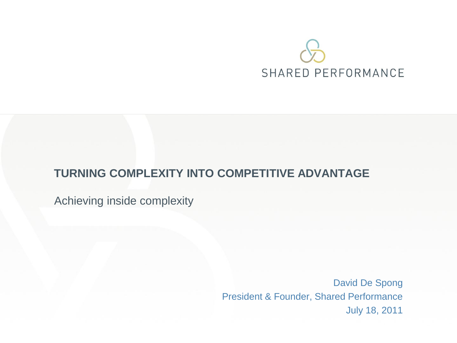# SHARED PERFORMANCE

#### **TURNING COMPLEXITY INTO COMPETITIVE ADVANTAGE**

Achieving inside complexity

David De Spong President & Founder, Shared Performance July 18, 2011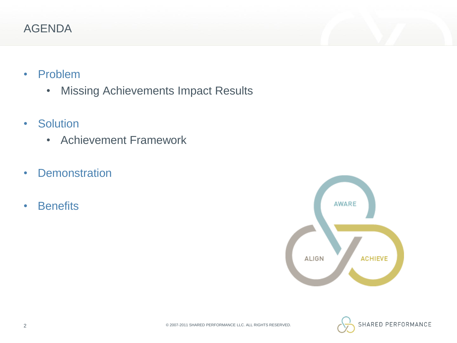# AGENDA

- Problem
	- Missing Achievements Impact Results
- Solution
	- Achievement Framework
- Demonstration
- Benefits



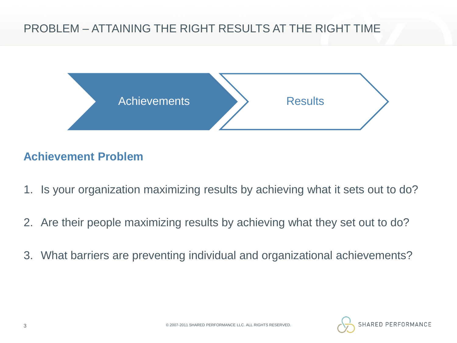# PROBLEM – ATTAINING THE RIGHT RESULTS AT THE RIGHT TIME



### **Achievement Problem**

- 1. Is your organization maximizing results by achieving what it sets out to do?
- 2. Are their people maximizing results by achieving what they set out to do?
- 3. What barriers are preventing individual and organizational achievements?

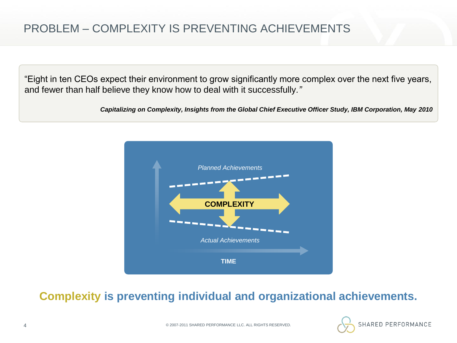# PROBLEM – COMPLEXITY IS PREVENTING ACHIEVEMENTS

"Eight in ten CEOs expect their environment to grow significantly more complex over the next five years, and fewer than half believe they know how to deal with it successfully*."*

*Capitalizing on Complexity, Insights from the Global Chief Executive Officer Study, IBM Corporation, May 2010*



#### **Complexity is preventing individual and organizational achievements.**

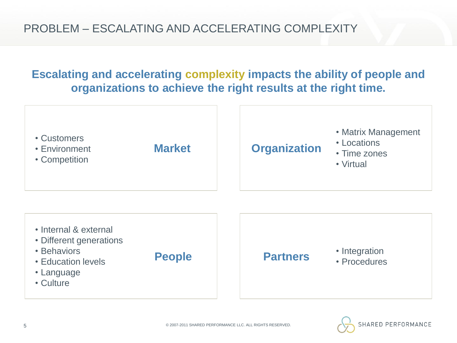# **Escalating and accelerating complexity impacts the ability of people and organizations to achieve the right results at the right time.**



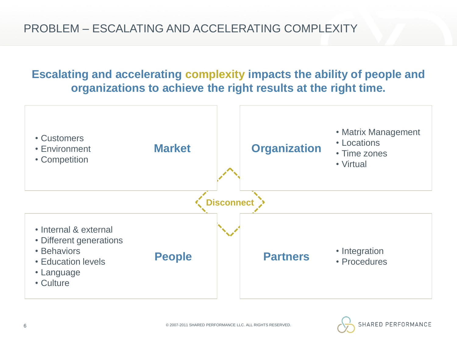# **Escalating and accelerating complexity impacts the ability of people and organizations to achieve the right results at the right time.**



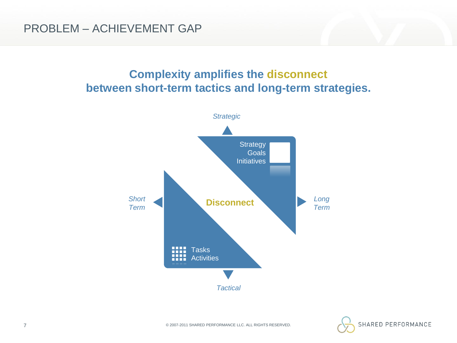### **Complexity amplifies the disconnect between short-term tactics and long-term strategies.**



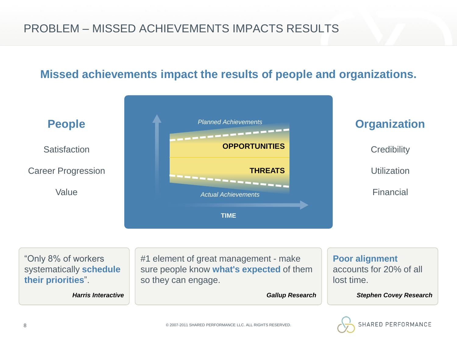# PROBLEM – MISSED ACHIEVEMENTS IMPACTS RESULTS

#### **Missed achievements impact the results of people and organizations.**

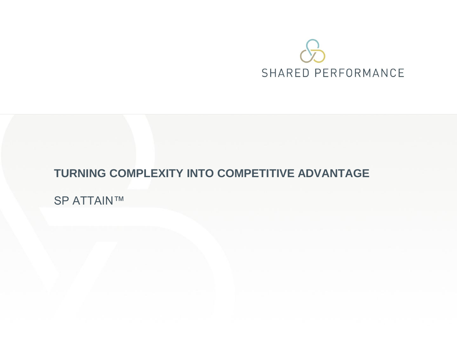# SHARED PERFORMANCE

#### **TURNING COMPLEXITY INTO COMPETITIVE ADVANTAGE**

SP ATTAIN™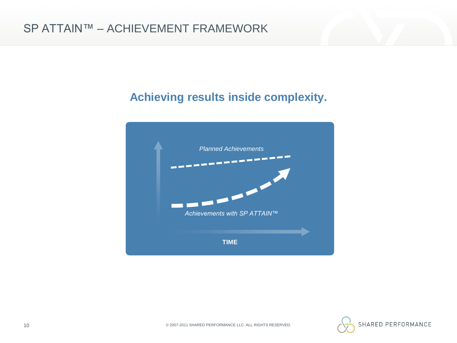### **Achieving results inside complexity.**



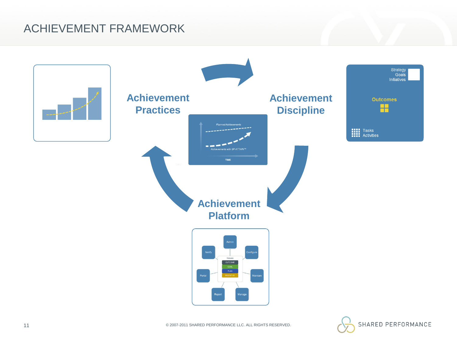### ACHIEVEMENT FRAMEWORK



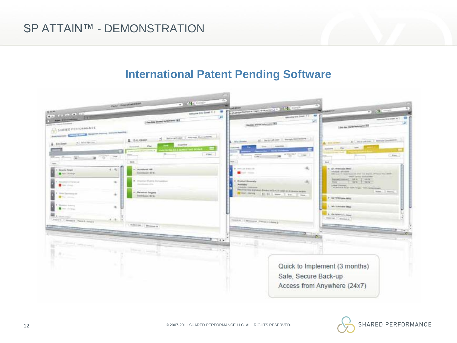#### SP ATTAIN™ - DEMONSTRATION

#### **International Patent Pending Software**